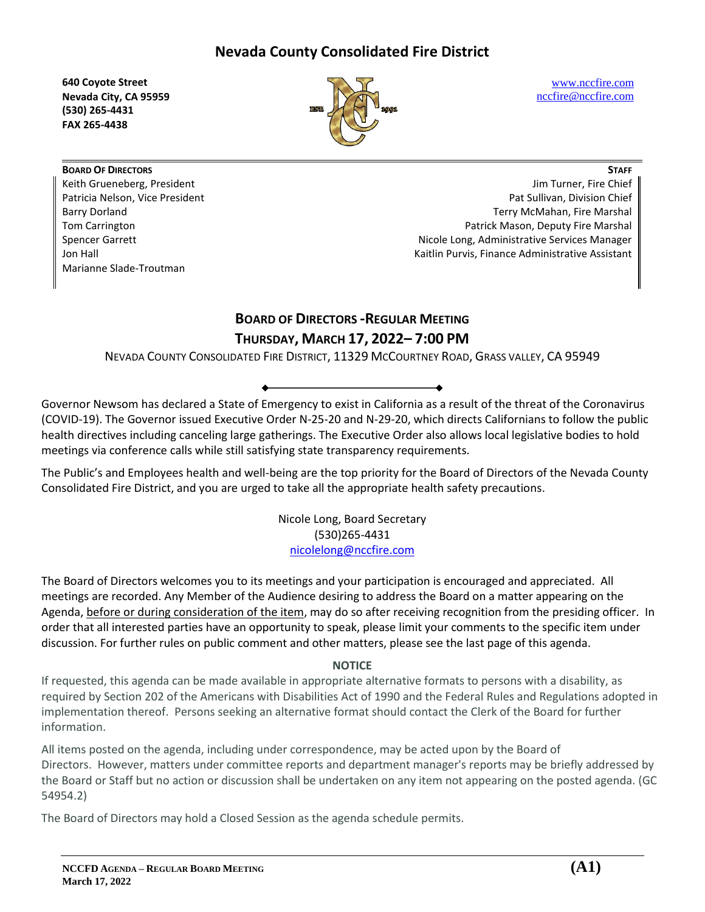**640 Coyote Street Nevada City, CA 95959 (530) 265-4431 FAX 265-4438**



[www.nccfire.com](http://www.nccfire.com/) [nccfire@nccfire.com](mailto:nccfire@nccfire.com)

**BOARD OF DIRECTORS** Keith Grueneberg, President Patricia Nelson, Vice President Barry Dorland Tom Carrington Spencer Garrett Jon Hall Marianne Slade-Troutman

**STAFF** Jim Turner, Fire Chief Pat Sullivan, Division Chief Terry McMahan, Fire Marshal Patrick Mason, Deputy Fire Marshal Nicole Long, Administrative Services Manager Kaitlin Purvis, Finance Administrative Assistant

# **BOARD OF DIRECTORS -REGULAR MEETING THURSDAY, MARCH 17, 2022– 7:00 PM**

NEVADA COUNTY CONSOLIDATED FIRE DISTRICT, 11329 MCCOURTNEY ROAD, GRASS VALLEY, CA 95949

Governor Newsom has declared a State of Emergency to exist in California as a result of the threat of the Coronavirus (COVID-19). The Governor issued Executive Order N-25-20 and N-29-20, which directs Californians to follow the public health directives including canceling large gatherings. The Executive Order also allows local legislative bodies to hold meetings via conference calls while still satisfying state transparency requirements.

The Public's and Employees health and well-being are the top priority for the Board of Directors of the Nevada County Consolidated Fire District, and you are urged to take all the appropriate health safety precautions.

> Nicole Long, Board Secretary (530)265-4431 [nicolelong@nccfire.com](mailto:nicolelong@nccfire.com)

The Board of Directors welcomes you to its meetings and your participation is encouraged and appreciated. All meetings are recorded. Any Member of the Audience desiring to address the Board on a matter appearing on the Agenda, before or during consideration of the item, may do so after receiving recognition from the presiding officer. In order that all interested parties have an opportunity to speak, please limit your comments to the specific item under discussion. For further rules on public comment and other matters, please see the last page of this agenda.

# **NOTICE**

If requested, this agenda can be made available in appropriate alternative formats to persons with a disability, as required by Section 202 of the Americans with Disabilities Act of 1990 and the Federal Rules and Regulations adopted in implementation thereof. Persons seeking an alternative format should contact the Clerk of the Board for further information.

All items posted on the agenda, including under correspondence, may be acted upon by the Board of Directors. However, matters under committee reports and department manager's reports may be briefly addressed by the Board or Staff but no action or discussion shall be undertaken on any item not appearing on the posted agenda. (GC 54954.2)

The Board of Directors may hold a Closed Session as the agenda schedule permits.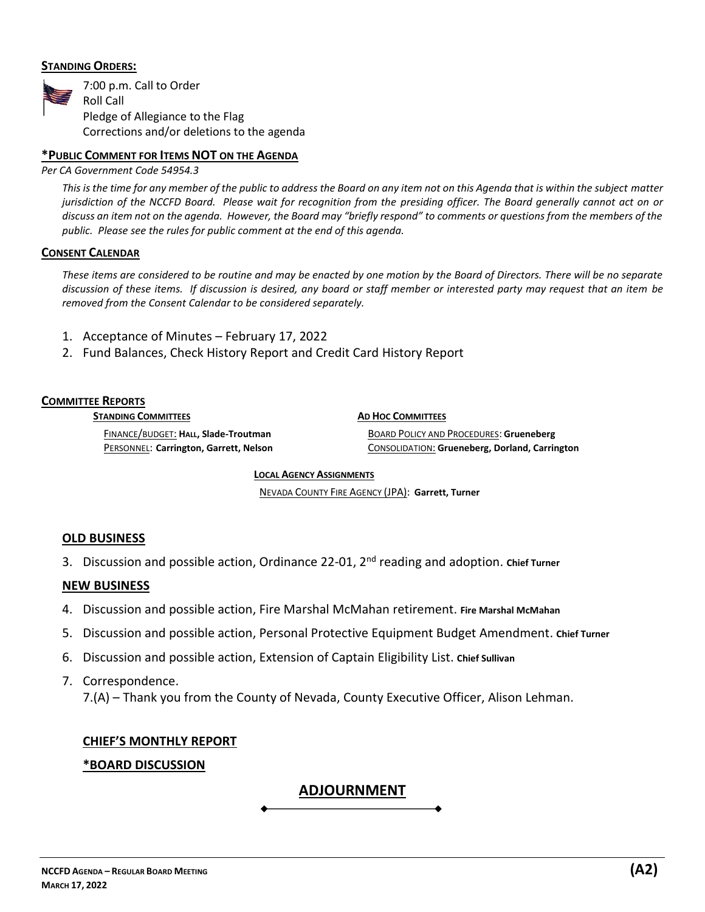## **STANDING ORDERS:**



### **\*PUBLIC COMMENT FOR ITEMS NOT ON THE AGENDA**

*Per CA Government Code 54954.3*

*This is the time for any member of the public to address the Board on any item not on this Agenda that is within the subject matter jurisdiction of the NCCFD Board. Please wait for recognition from the presiding officer. The Board generally cannot act on or discuss an item not on the agenda. However, the Board may "briefly respond" to comments or questions from the members of the public. Please see the rules for public comment at the end of this agenda.*

#### **CONSENT CALENDAR**

*These items are considered to be routine and may be enacted by one motion by the Board of Directors. There will be no separate discussion of these items. If discussion is desired, any board or staff member or interested party may request that an item be removed from the Consent Calendar to be considered separately.* 

- 1. Acceptance of Minutes February 17, 2022
- 2. Fund Balances, Check History Report and Credit Card History Report

#### **COMMITTEE REPORTS**

**STANDING COMMITTEES**

**AD HOC COMMITTEES**

FINANCE/BUDGET: **HALL, Slade-Troutman**  PERSONNEL: **Carrington, Garrett, Nelson** BOARD POLICY AND PROCEDURES: **Grueneberg** CONSOLIDATION: **Grueneberg, Dorland, Carrington**

**LOCAL AGENCY ASSIGNMENTS** 

NEVADA COUNTY FIRE AGENCY (JPA): **Garrett, Turner**

# **OLD BUSINESS**

3. Discussion and possible action, Ordinance 22-01, 2nd reading and adoption. **Chief Turner**

#### **NEW BUSINESS**

- 4. Discussion and possible action, Fire Marshal McMahan retirement. **Fire Marshal McMahan**
- 5. Discussion and possible action, Personal Protective Equipment Budget Amendment. **Chief Turner**
- 6. Discussion and possible action, Extension of Captain Eligibility List. **Chief Sullivan**
- 7. Correspondence. 7.(A) – Thank you from the County of Nevada, County Executive Officer, Alison Lehman.

#### **CHIEF'S MONTHLY REPORT**

# **\*BOARD DISCUSSION**

# **ADJOURNMENT**